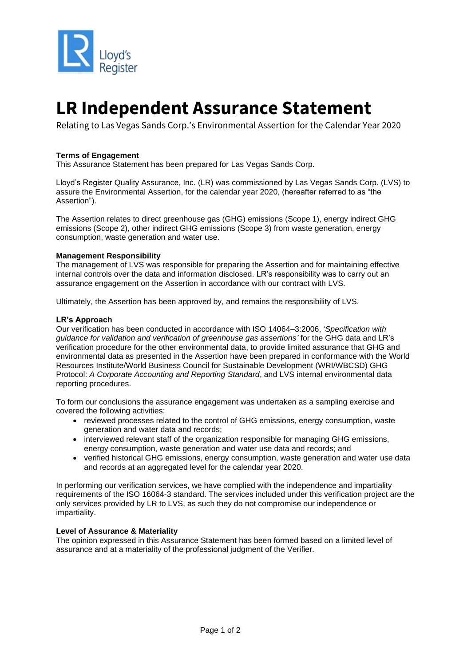

# **LR Independent Assurance Statement**

Relating to Las Vegas Sands Corp.'s Environmental Assertion for the Calendar Year 2020

#### **Terms of Engagement**

This Assurance Statement has been prepared for Las Vegas Sands Corp.

Lloyd's Register Quality Assurance, Inc. (LR) was commissioned by Las Vegas Sands Corp. (LVS) to assure the Environmental Assertion, for the calendar year 2020, (hereafter referred to as "the Assertion").

The Assertion relates to direct greenhouse gas (GHG) emissions (Scope 1), energy indirect GHG emissions (Scope 2), other indirect GHG emissions (Scope 3) from waste generation, energy consumption, waste generation and water use.

#### **Management Responsibility**

The management of LVS was responsible for preparing the Assertion and for maintaining effective internal controls over the data and information disclosed. LR's responsibility was to carry out an assurance engagement on the Assertion in accordance with our contract with LVS.

Ultimately, the Assertion has been approved by, and remains the responsibility of LVS.

#### **LR's Approach**

Our verification has been conducted in accordance with ISO 14064–3:2006, '*Specification with guidance for validation and verification of greenhouse gas assertions'* for the GHG data and LR's verification procedure for the other environmental data, to provide limited assurance that GHG and environmental data as presented in the Assertion have been prepared in conformance with the World Resources Institute/World Business Council for Sustainable Development (WRI/WBCSD) GHG Protocol: *A Corporate Accounting and Reporting Standard*, and LVS internal environmental data reporting procedures.

To form our conclusions the assurance engagement was undertaken as a sampling exercise and covered the following activities:

- reviewed processes related to the control of GHG emissions, energy consumption, waste generation and water data and records;
- interviewed relevant staff of the organization responsible for managing GHG emissions, energy consumption, waste generation and water use data and records; and
- verified historical GHG emissions, energy consumption, waste generation and water use data and records at an aggregated level for the calendar year 2020.

In performing our verification services, we have complied with the independence and impartiality requirements of the ISO 16064-3 standard. The services included under this verification project are the only services provided by LR to LVS, as such they do not compromise our independence or impartiality.

## **Level of Assurance & Materiality**

The opinion expressed in this Assurance Statement has been formed based on a limited level of assurance and at a materiality of the professional judgment of the Verifier.